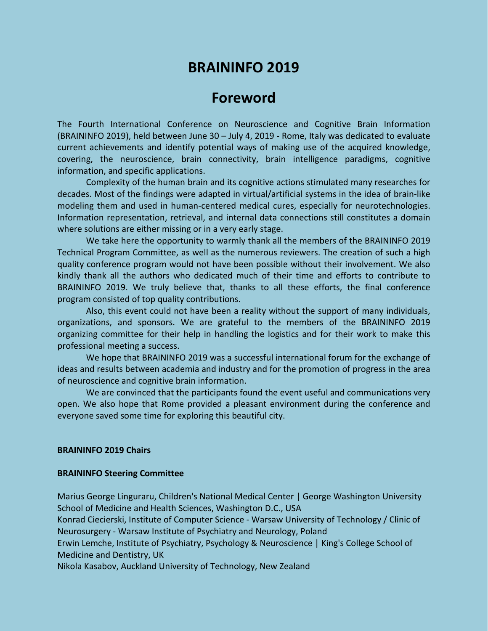## **BRAININFO 2019**

## **Foreword**

The Fourth International Conference on Neuroscience and Cognitive Brain Information (BRAININFO 2019), held between June 30 – July 4, 2019 - Rome, Italy was dedicated to evaluate current achievements and identify potential ways of making use of the acquired knowledge, covering, the neuroscience, brain connectivity, brain intelligence paradigms, cognitive information, and specific applications.

Complexity of the human brain and its cognitive actions stimulated many researches for decades. Most of the findings were adapted in virtual/artificial systems in the idea of brain-like modeling them and used in human-centered medical cures, especially for neurotechnologies. Information representation, retrieval, and internal data connections still constitutes a domain where solutions are either missing or in a very early stage.

We take here the opportunity to warmly thank all the members of the BRAININFO 2019 Technical Program Committee, as well as the numerous reviewers. The creation of such a high quality conference program would not have been possible without their involvement. We also kindly thank all the authors who dedicated much of their time and efforts to contribute to BRAININFO 2019. We truly believe that, thanks to all these efforts, the final conference program consisted of top quality contributions.

Also, this event could not have been a reality without the support of many individuals, organizations, and sponsors. We are grateful to the members of the BRAININFO 2019 organizing committee for their help in handling the logistics and for their work to make this professional meeting a success.

We hope that BRAININFO 2019 was a successful international forum for the exchange of ideas and results between academia and industry and for the promotion of progress in the area of neuroscience and cognitive brain information.

We are convinced that the participants found the event useful and communications very open. We also hope that Rome provided a pleasant environment during the conference and everyone saved some time for exploring this beautiful city.

## **BRAININFO 2019 Chairs**

## **BRAININFO Steering Committee**

Marius George Linguraru, Children's National Medical Center | George Washington University School of Medicine and Health Sciences, Washington D.C., USA

Konrad Ciecierski, Institute of Computer Science - Warsaw University of Technology / Clinic of Neurosurgery - Warsaw Institute of Psychiatry and Neurology, Poland

Erwin Lemche, Institute of Psychiatry, Psychology & Neuroscience | King's College School of Medicine and Dentistry, UK

Nikola Kasabov, Auckland University of Technology, New Zealand